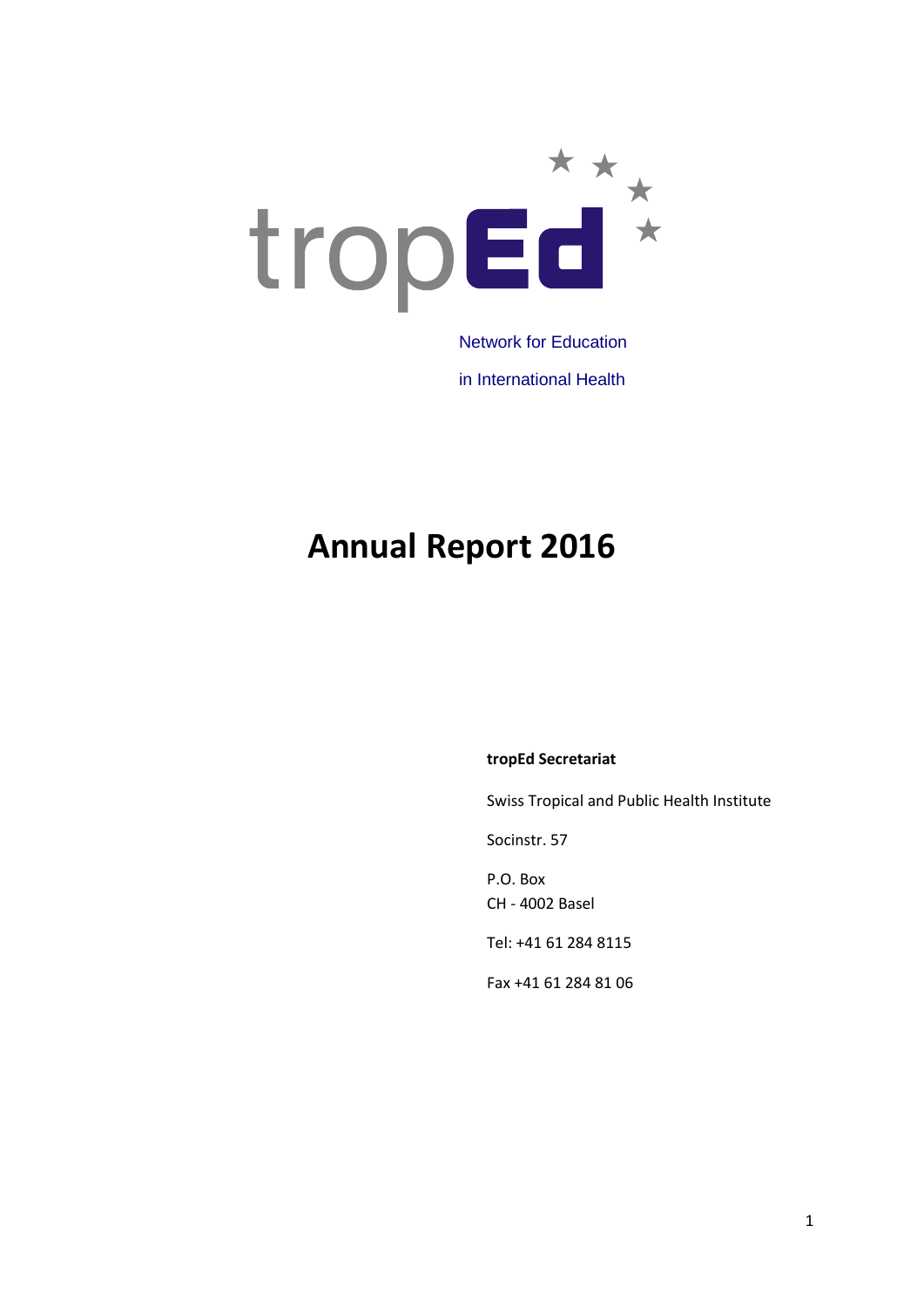

in International Health

# **Annual Report 2016**

#### **tropEd Secretariat**

Swiss Tropical and Public Health Institute

Socinstr. 57

P.O. Box CH - 4002 Basel

Tel: +41 61 284 8115

Fax +41 61 284 81 06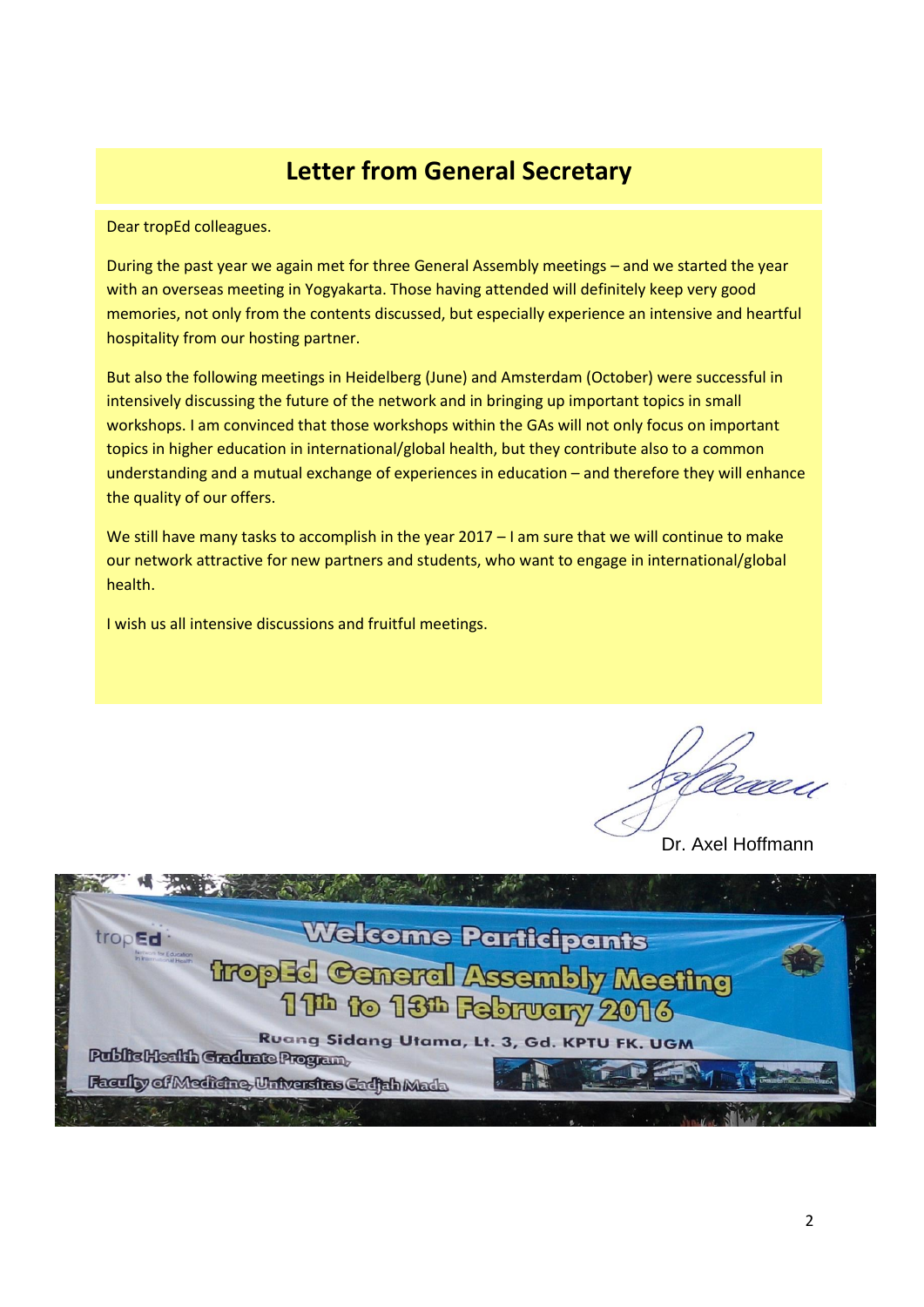### **Letter from General Secretary**

Dear tropEd colleagues.

During the past year we again met for three General Assembly meetings – and we started the year with an overseas meeting in Yogyakarta. Those having attended will definitely keep very good memories, not only from the contents discussed, but especially experience an intensive and heartful hospitality from our hosting partner.

But also the following meetings in Heidelberg (June) and Amsterdam (October) were successful in intensively discussing the future of the network and in bringing up important topics in small workshops. I am convinced that those workshops within the GAs will not only focus on important topics in higher education in international/global health, but they contribute also to a common understanding and a mutual exchange of experiences in education – and therefore they will enhance the quality of our offers.

We still have many tasks to accomplish in the year 2017 – I am sure that we will continue to make our network attractive for new partners and students, who want to engage in international/global health.

I wish us all intensive discussions and fruitful meetings.

Dr. Axel Hoffmann

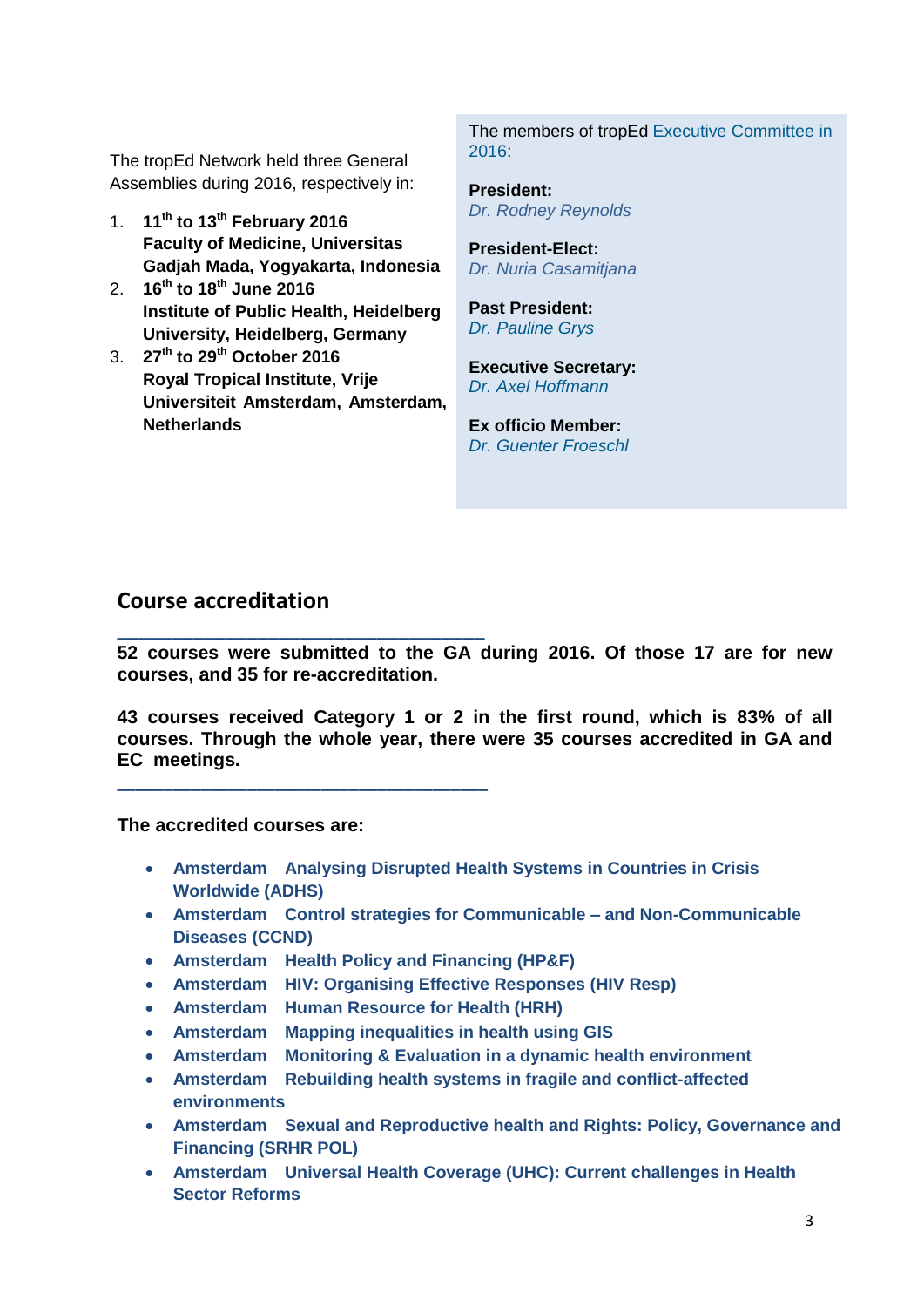The tropEd Network held three General Assemblies during 2016, respectively in:

- 1. **11th to 13th February 2016 Faculty of Medicine, Universitas Gadjah Mada, Yogyakarta, Indonesia**
- 2. **16th to 18th June 2016 Institute of Public Health, Heidelberg University, Heidelberg, Germany**
- 3. **27th to 29th October 2016 Royal Tropical Institute, Vrije Universiteit Amsterdam, Amsterdam, Netherlands**

The members of tropEd [Executive Committee](http://www.troped.org/?q=node/74) in 2016:

**President:**  *Dr. Rodney Reynolds*

**President-Elect:** *Dr. Nuria Casamitjana*

**Past President:**  *Dr. [Pauline Grys](http://www.troped.org/?q=node/141)*

**Executive Secretary:** *[Dr. Axel Hoffmann](http://www.troped.org/?q=node/63)*

**Ex officio Member:** *[Dr.](http://www.troped.org/?q=node/67) Guenter Froeschl*

### **Course accreditation**

**\_\_\_\_\_\_\_\_\_\_\_\_\_\_\_\_\_\_\_\_\_\_\_\_\_\_\_\_\_\_\_\_\_\_ 52 courses were submitted to the GA during 2016. Of those 17 are for new courses, and 35 for re-accreditation.**

**43 courses received Category 1 or 2 in the first round, which is 83% of all courses. Through the whole year, there were 35 courses accredited in GA and EC meetings.**

**The accredited courses are:** 

**\_\_\_\_\_\_\_\_\_\_\_\_\_\_\_\_\_\_\_\_\_\_\_\_\_\_\_\_\_\_\_\_\_\_\_\_\_\_\_\_**

- **Amsterdam Analysing Disrupted Health Systems in Countries in Crisis Worldwide (ADHS)**
- **Amsterdam Control strategies for Communicable – and Non-Communicable Diseases (CCND)**
- **Amsterdam Health Policy and Financing (HP&F)**
- **Amsterdam HIV: Organising Effective Responses (HIV Resp)**
- **Amsterdam Human Resource for Health (HRH)**
- **Amsterdam Mapping inequalities in health using GIS**
- **Amsterdam Monitoring & Evaluation in a dynamic health environment**
- **Amsterdam Rebuilding health systems in fragile and conflict-affected environments**
- **Amsterdam Sexual and Reproductive health and Rights: Policy, Governance and Financing (SRHR POL)**
- **Amsterdam Universal Health Coverage (UHC): Current challenges in Health Sector Reforms**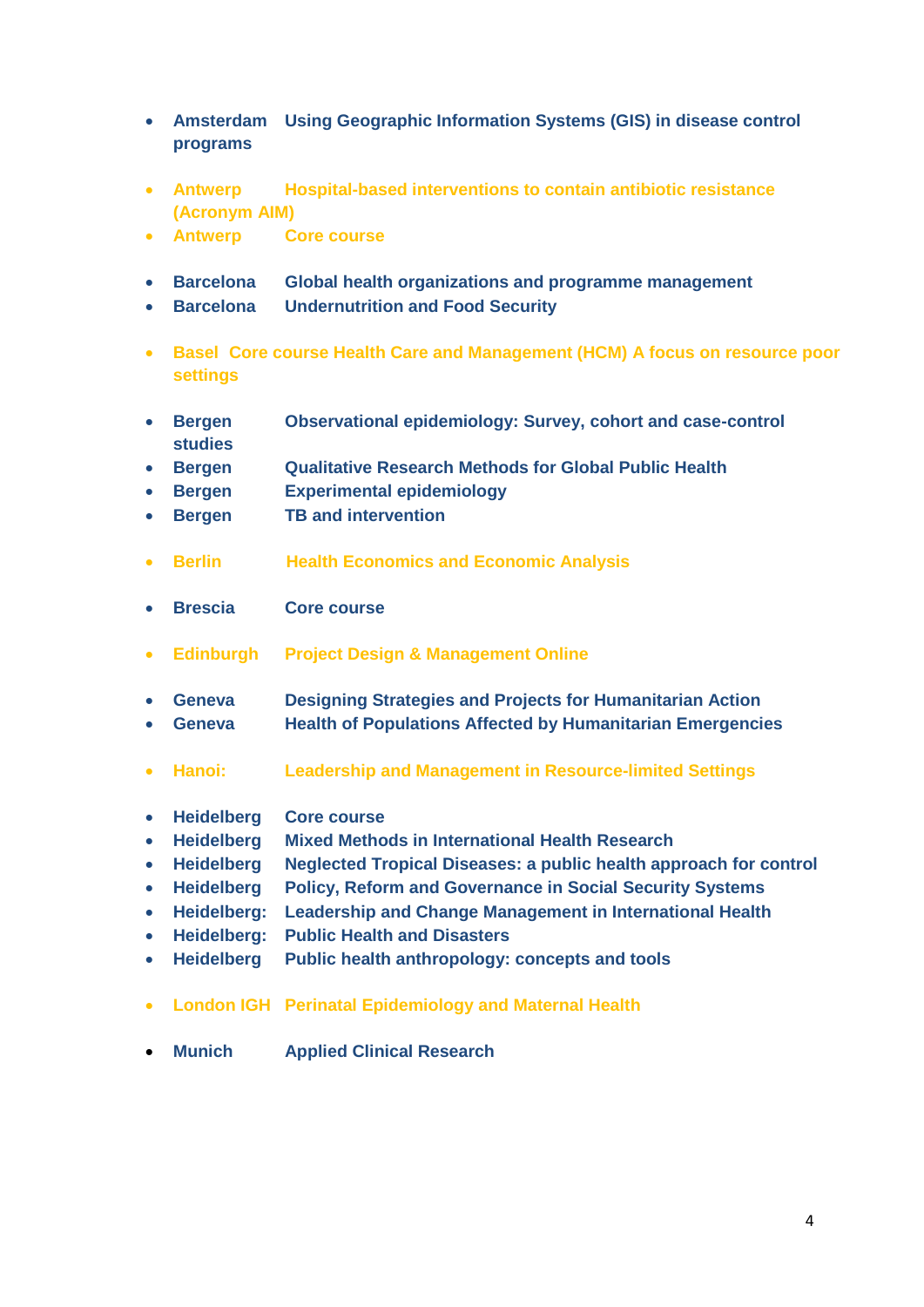- **Amsterdam Using Geographic Information Systems (GIS) in disease control programs**
- **Antwerp Hospital-based interventions to contain antibiotic resistance (Acronym AIM)**
- **Antwerp Core course**
- **Barcelona Global health organizations and programme management**
- **Barcelona Undernutrition and Food Security**
- **Basel Core course Health Care and Management (HCM) A focus on resource poor settings**
- **Bergen Observational epidemiology: Survey, cohort and case-control studies**
- **Bergen Qualitative Research Methods for Global Public Health**
- **Bergen Experimental epidemiology**
- **Bergen TB and intervention**
- **Berlin Health Economics and Economic Analysis**
- **Brescia Core course**
- **Edinburgh Project Design & Management Online**
- **Geneva Designing Strategies and Projects for Humanitarian Action Geneva Health of Populations Affected by Humanitarian Emergencies**
- **Hanoi: Leadership and Management in Resource-limited Settings**
- **Heidelberg Core course**
- **Heidelberg Mixed Methods in International Health Research**
- **Heidelberg Neglected Tropical Diseases: a public health approach for control**
- **Heidelberg Policy, Reform and Governance in Social Security Systems**
- **Heidelberg: Leadership and Change Management in International Health**
- **Heidelberg: Public Health and Disasters**
- **Heidelberg Public health anthropology: concepts and tools**
- **London IGH Perinatal Epidemiology and Maternal Health**
- **Munich Applied Clinical Research**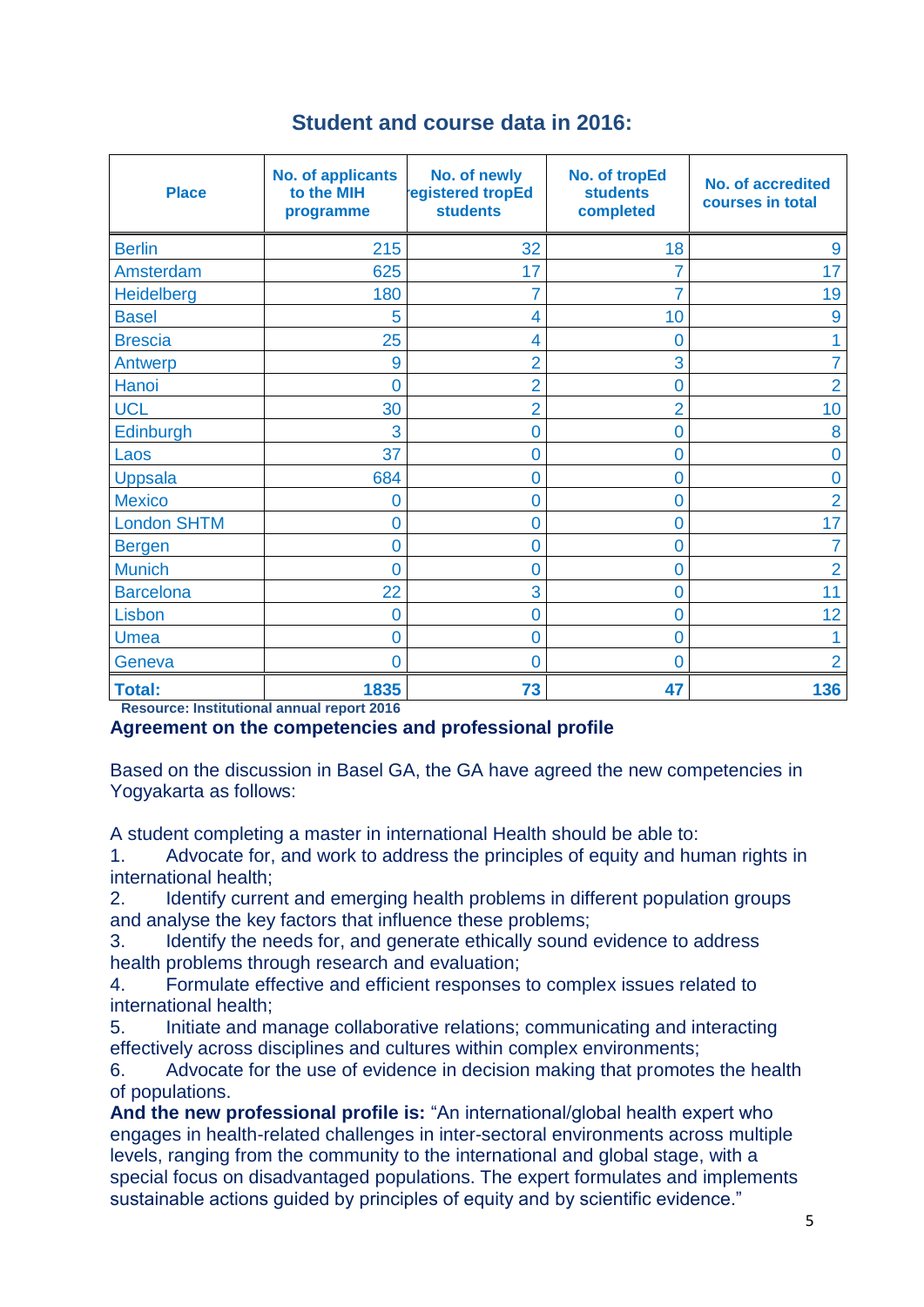| <b>Student and course data in 2016:</b> |  |  |  |  |  |
|-----------------------------------------|--|--|--|--|--|
|-----------------------------------------|--|--|--|--|--|

| <b>Place</b>       | <b>No. of applicants</b><br>to the MIH<br>programme | No. of newly<br>egistered tropEd<br><b>students</b> | No. of tropEd<br><b>students</b><br>completed | <b>No. of accredited</b><br>courses in total |
|--------------------|-----------------------------------------------------|-----------------------------------------------------|-----------------------------------------------|----------------------------------------------|
| <b>Berlin</b>      | 215                                                 | 32                                                  | 18                                            | 9                                            |
| Amsterdam          | 625                                                 | 17                                                  |                                               | 17                                           |
| Heidelberg         | 180                                                 | 7                                                   |                                               | 19                                           |
| <b>Basel</b>       | 5                                                   | 4                                                   | 10                                            | 9                                            |
| <b>Brescia</b>     | 25                                                  | 4                                                   | 0                                             |                                              |
| Antwerp            | 9                                                   | $\overline{2}$                                      | 3                                             |                                              |
| Hanoi              | 0                                                   | $\overline{2}$                                      | 0                                             | $\overline{2}$                               |
| <b>UCL</b>         | 30                                                  | $\overline{2}$                                      | $\overline{2}$                                | 10                                           |
| Edinburgh          | 3                                                   | 0                                                   | 0                                             | 8                                            |
| Laos               | 37                                                  | 0                                                   | 0                                             | 0                                            |
| <b>Uppsala</b>     | 684                                                 | 0                                                   | 0                                             | 0                                            |
| <b>Mexico</b>      | 0                                                   | 0                                                   | 0                                             | $\overline{2}$                               |
| <b>London SHTM</b> | 0                                                   | 0                                                   | 0                                             | 17                                           |
| <b>Bergen</b>      | 0                                                   | 0                                                   | 0                                             |                                              |
| <b>Munich</b>      | O                                                   | 0                                                   | 0                                             | 2                                            |
| <b>Barcelona</b>   | 22                                                  | 3                                                   | 0                                             | 11                                           |
| Lisbon             | 0                                                   | 0                                                   | 0                                             | 12                                           |
| <b>Umea</b>        | 0                                                   | 0                                                   | 0                                             |                                              |
| Geneva             | 0                                                   | 0                                                   | 0                                             | 2                                            |
| <b>Total:</b>      | 1835                                                | 73                                                  | 47                                            | 136                                          |

**Resource: Institutional annual report 2016**

#### **Agreement on the competencies and professional profile**

Based on the discussion in Basel GA, the GA have agreed the new competencies in Yogyakarta as follows:

A student completing a master in international Health should be able to:

1. Advocate for, and work to address the principles of equity and human rights in international health;

2. Identify current and emerging health problems in different population groups and analyse the key factors that influence these problems;

3. Identify the needs for, and generate ethically sound evidence to address health problems through research and evaluation;

4. Formulate effective and efficient responses to complex issues related to international health;

5. Initiate and manage collaborative relations; communicating and interacting effectively across disciplines and cultures within complex environments;

6. Advocate for the use of evidence in decision making that promotes the health of populations.

**And the new professional profile is:** "An international/global health expert who engages in health-related challenges in inter-sectoral environments across multiple levels, ranging from the community to the international and global stage, with a special focus on disadvantaged populations. The expert formulates and implements sustainable actions guided by principles of equity and by scientific evidence."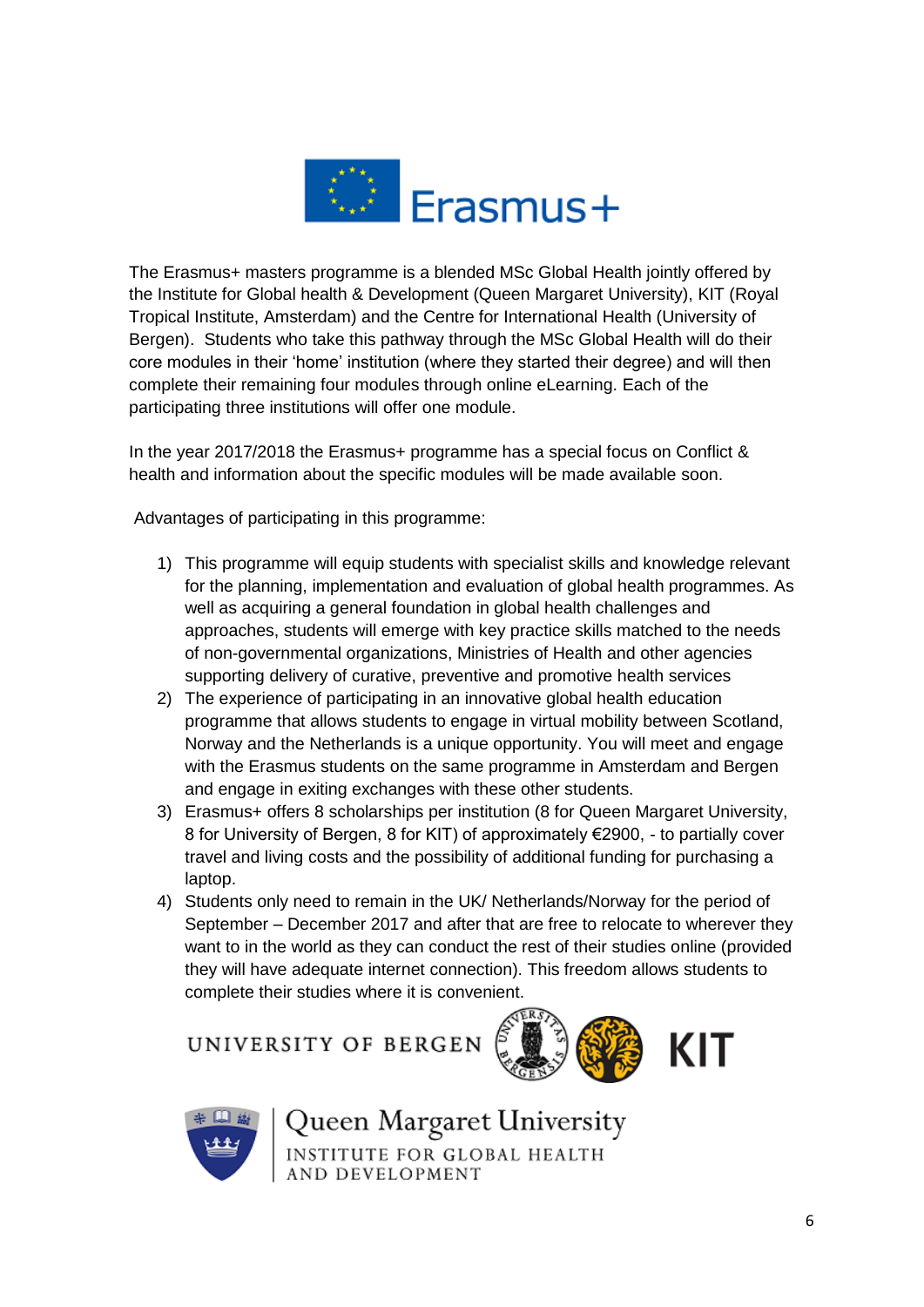

The Erasmus+ masters programme is a blended MSc Global Health jointly offered by the Institute for Global health & Development (Queen Margaret University), KIT (Royal Tropical Institute, Amsterdam) and the Centre for International Health (University of Bergen). Students who take this pathway through the MSc Global Health will do their core modules in their 'home' institution (where they started their degree) and will then complete their remaining four modules through online eLearning. Each of the participating three institutions will offer one module.

In the year 2017/2018 the Erasmus+ programme has a special focus on Conflict & health and information about the specific modules will be made available soon.

Advantages of participating in this programme:

- 1) This programme will equip students with specialist skills and knowledge relevant for the planning, implementation and evaluation of global health programmes. As well as acquiring a general foundation in global health challenges and approaches, students will emerge with key practice skills matched to the needs of non-governmental organizations, Ministries of Health and other agencies supporting delivery of curative, preventive and promotive health services
- 2) The experience of participating in an innovative global health education programme that allows students to engage in virtual mobility between Scotland, Norway and the Netherlands is a unique opportunity. You will meet and engage with the Erasmus students on the same programme in Amsterdam and Bergen and engage in exiting exchanges with these other students.
- 3) Erasmus+ offers 8 scholarships per institution (8 for Queen Margaret University, 8 for University of Bergen, 8 for KIT) of approximately €2900, - to partially cover travel and living costs and the possibility of additional funding for purchasing a laptop.
- 4) Students only need to remain in the UK/ Netherlands/Norway for the period of September – December 2017 and after that are free to relocate to wherever they want to in the world as they can conduct the rest of their studies online (provided they will have adequate internet connection). This freedom allows students to complete their studies where it is convenient.

UNIVERSITY OF BERGEN





Queen Margaret University **INSTITUTE FOR GLOBAL HEALTH** AND DEVELOPMENT